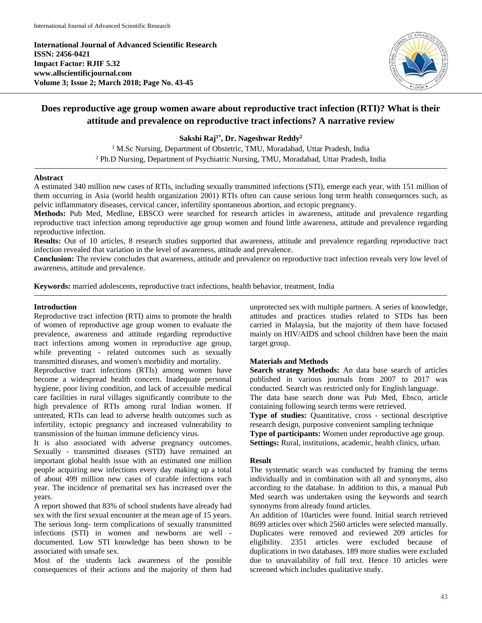**International Journal of Advanced Scientific Research ISSN: 2456-0421 Impact Factor: RJIF 5.32 www.allscientificjournal.com Volume 3; Issue 2; March 2018; Page No. 43-45**



# **Does reproductive age group women aware about reproductive tract infection (RTI)? What is their attitude and prevalence on reproductive tract infections? A narrative review**

**Sakshi Raj1\* , Dr. Nageshwar Reddy<sup>2</sup>**

<sup>1</sup> M.Sc Nursing, Department of Obstetric, TMU, Moradabad, Uttar Pradesh, India <sup>2</sup> Ph.D Nursing, Department of Psychiatric Nursing, TMU, Moradabad, Uttar Pradesh, India

## **Abstract**

A estimated 340 million new cases of RTIs, including sexually transmitted infections (STI), emerge each year, with 151 million of them occurring in Asia (world health organization 2001) RTIs often can cause serious long term health consequences such, as pelvic inflammatory diseases, cervical cancer, infertility spontaneous abortion, and ectopic pregnancy.

**Methods:** Pub Med, Medline, EBSCO were searched for research articles in awareness, attitude and prevalence regarding reproductive tract infection among reproductive age group women and found little awareness, attitude and prevalence regarding reproductive infection.

**Results:** Out of 10 articles, 8 research studies supported that awareness, attitude and prevalence regarding reproductive tract infection revealed that variation in the level of awareness, attitude and prevalence.

**Conclusion:** The review concludes that awareness, attitude and prevalence on reproductive tract infection reveals very low level of awareness, attitude and prevalence.

**Keywords:** married adolescents, reproductive tract infections, health behavior, treatment, India

## **Introduction**

Reproductive tract infection (RTI) aims to promote the health of women of reproductive age group women to evaluate the prevalence, awareness and attitude regarding reproductive tract infections among women in reproductive age group, while preventing - related outcomes such as sexually transmitted diseases, and women's morbidity and mortality.

Reproductive tract infections (RTIs) among women have become a widespread health concern. Inadequate personal hygiene, poor living condition, and lack of accessible medical care facilities in rural villages significantly contribute to the high prevalence of RTIs among rural Indian women. If untreated, RTIs can lead to adverse health outcomes such as infertility, ectopic pregnancy and increased vulnerability to transmission of the human immune deficiency virus.

It is also associated with adverse pregnancy outcomes. Sexually - transmitted diseases (STD) have remained an important global health issue with an estimated one million people acquiring new infections every day making up a total of about 499 million new cases of curable infections each year. The incidence of premarital sex has increased over the years.

A report showed that 83% of school students have already had sex with the first sexual encounter at the mean age of 15 years. The serious long- term complications of sexually transmitted infections (STI) in women and newborns are well documented. Low STI knowledge has been shown to be associated with unsafe sex.

Most of the students lack awareness of the possible consequences of their actions and the majority of them had unprotected sex with multiple partners. A series of knowledge, attitudes and practices studies related to STDs has been carried in Malaysia, but the majority of them have focused mainly on HIV/AIDS and school children have been the main target group.

# **Materials and Methods**

**Search strategy Methods:** An data base search of articles published in various journals from 2007 to 2017 was conducted. Search was restricted only for English language. The data base search done was Pub Med, Ebsco, article containing following search terms were retrieved.

**Type of studies:** Quantitative, cross - sectional descriptive research design, purposive convenient sampling technique **Type of participants:** Women under reproductive age group. **Settings:** Rural, institutions, academic, health clinics, urban.

# **Result**

The systematic search was conducted by framing the terms individually and in combination with all and synonyms, also according to the database. In addition to this, a manual Pub Med search was undertaken using the keywords and search synonyms from already found articles.

An addition of 10articles were found. Initial search retrieved 8699 articles over which 2560 articles were selected manually. Duplicates were removed and reviewed 209 articles for eligibility. 2351 articles were excluded because of duplications in two databases. 189 more studies were excluded due to unavailability of full text. Hence 10 articles were screened which includes qualitative study.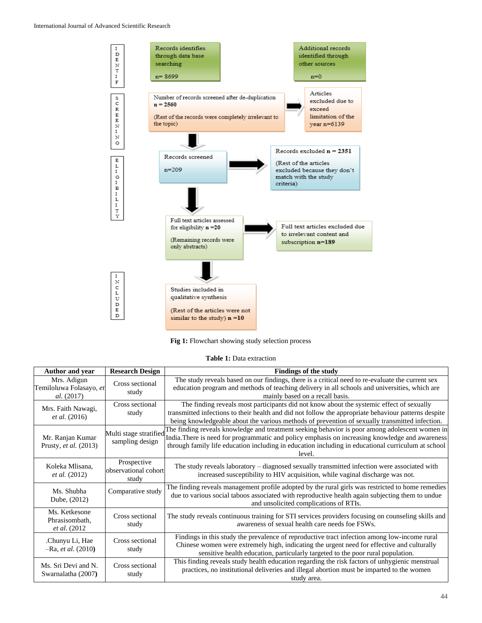

**Fig 1:** Flowchart showing study selection process

|  |  |  | <b>Table 1:</b> Data extraction |
|--|--|--|---------------------------------|
|--|--|--|---------------------------------|

| Author and year                                             | <b>Research Design</b>                       | <b>Findings of the study</b>                                                                                                                                                                                                                                                                                      |
|-------------------------------------------------------------|----------------------------------------------|-------------------------------------------------------------------------------------------------------------------------------------------------------------------------------------------------------------------------------------------------------------------------------------------------------------------|
| Mrs. Adigun<br>Temiloluwa Folasayo, et<br><i>al.</i> (2017) | Cross sectional<br>study                     | The study reveals based on our findings, there is a critical need to re-evaluate the current sex<br>education program and methods of teaching delivery in all schools and universities, which are<br>mainly based on a recall basis.                                                                              |
| Mrs. Faith Nawagi,<br><i>et al.</i> (2016)                  | Cross sectional<br>study                     | The finding reveals most participants did not know about the systemic effect of sexually<br>transmitted infections to their health and did not follow the appropriate behaviour patterns despite<br>being knowledgeable about the various methods of prevention of sexually transmitted infection.                |
| Mr. Ranjan Kumar<br>Prusty, et al. (2013)                   | Multi stage stratified<br>sampling design    | The finding reveals knowledge and treatment seeking behavior is poor among adolescent women in<br>India. There is need for programmatic and policy emphasis on increasing knowledge and awareness<br>through family life education including in education including in educational curriculum at school<br>level. |
| Koleka Mlisana,<br><i>et al.</i> (2012)                     | Prospective<br>observational cohort<br>study | The study reveals laboratory – diagnosed sexually transmitted infection were associated with<br>increased susceptibility to HIV acquisition, while vaginal discharge was not.                                                                                                                                     |
| Ms. Shubha<br>Dube, (2012)                                  | Comparative study                            | The finding reveals management profile adopted by the rural girls was restricted to home remedies<br>due to various social taboos associated with reproductive health again subjecting them to undue<br>and unsolicited complications of RTIs.                                                                    |
| Ms. Ketkesone<br>Phrasisombath,<br><i>et al.</i> (2012)     | Cross sectional<br>study                     | The study reveals continuous training for STI services providers focusing on counseling skills and<br>awareness of sexual health care needs foe FSWs.                                                                                                                                                             |
| .Chunyu Li, Hae<br>$-Ra, et al. (2010)$                     | Cross sectional<br>study                     | Findings in this study the prevalence of reproductive tract infection among low-income rural<br>Chinese women were extremely high, indicating the urgent need for effective and culturally<br>sensitive health education, particularly targeted to the poor rural population.                                     |
| Ms. Sri Devi and N.<br>Swarnalatha (2007)                   | Cross sectional<br>study                     | This finding reveals study health education regarding the risk factors of unhygienic menstrual<br>practices, no institutional deliveries and illegal abortion must be imparted to the women<br>study area.                                                                                                        |